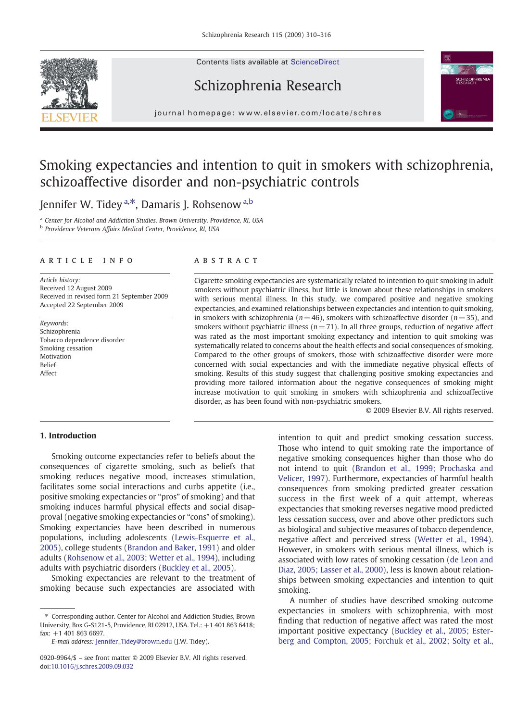Contents lists available at ScienceDirect







j o u r n a l h om e p a g e : www. e l s ev i e r. c om / l o c a t e / s c h r e s

## Smoking expectancies and intention to quit in smokers with schizophrenia, schizoaffective disorder and non-psychiatric controls

Jennifer W. Tidey <sup>a,\*</sup>, Damaris J. Rohsenow <sup>a,b</sup>

<sup>a</sup> Center for Alcohol and Addiction Studies, Brown University, Providence, RI, USA <sup>b</sup> Providence Veterans Affairs Medical Center, Providence, RI, USA

#### article info abstract

Article history: Received 12 August 2009 Received in revised form 21 September 2009 Accepted 22 September 2009

Keywords: Schizophrenia Tobacco dependence disorder Smoking cessation Motivation Belief Affect

Cigarette smoking expectancies are systematically related to intention to quit smoking in adult smokers without psychiatric illness, but little is known about these relationships in smokers with serious mental illness. In this study, we compared positive and negative smoking expectancies, and examined relationships between expectancies and intention to quit smoking, in smokers with schizophrenia ( $n= 46$ ), smokers with schizoaffective disorder ( $n= 35$ ), and smokers without psychiatric illness ( $n= 71$ ). In all three groups, reduction of negative affect was rated as the most important smoking expectancy and intention to quit smoking was systematically related to concerns about the health effects and social consequences of smoking. Compared to the other groups of smokers, those with schizoaffective disorder were more concerned with social expectancies and with the immediate negative physical effects of smoking. Results of this study suggest that challenging positive smoking expectancies and providing more tailored information about the negative consequences of smoking might increase motivation to quit smoking in smokers with schizophrenia and schizoaffective disorder, as has been found with non-psychiatric smokers.

© 2009 Elsevier B.V. All rights reserved.

### 1. Introduction

Smoking outcome expectancies refer to beliefs about the consequences of cigarette smoking, such as beliefs that smoking reduces negative mood, increases stimulation, facilitates some social interactions and curbs appetite (i.e., positive smoking expectancies or "pros" of smoking) and that smoking induces harmful physical effects and social disapproval (negative smoking expectancies or "cons" of smoking). Smoking expectancies have been described in numerous populations, including adolescents ([Lewis-Esquerre et al.,](#page--1-0) [2005](#page--1-0)), college students [\(Brandon and Baker, 1991](#page--1-0)) and older adults [\(Rohsenow et al., 2003; Wetter et al., 1994\)](#page--1-0), including adults with psychiatric disorders ([Buckley et al., 2005](#page--1-0)).

Smoking expectancies are relevant to the treatment of smoking because such expectancies are associated with

intention to quit and predict smoking cessation success. Those who intend to quit smoking rate the importance of negative smoking consequences higher than those who do not intend to quit ([Brandon et al., 1999; Prochaska and](#page--1-0) [Velicer, 1997](#page--1-0)). Furthermore, expectancies of harmful health consequences from smoking predicted greater cessation success in the first week of a quit attempt, whereas expectancies that smoking reverses negative mood predicted less cessation success, over and above other predictors such as biological and subjective measures of tobacco dependence, negative affect and perceived stress ([Wetter et al., 1994](#page--1-0)). However, in smokers with serious mental illness, which is associated with low rates of smoking cessation [\(de Leon and](#page--1-0) [Diaz, 2005; Lasser et al., 2000](#page--1-0)), less is known about relationships between smoking expectancies and intention to quit smoking.

A number of studies have described smoking outcome expectancies in smokers with schizophrenia, with most finding that reduction of negative affect was rated the most important positive expectancy [\(Buckley et al., 2005; Ester](#page--1-0)[berg and Compton, 2005; Forchuk et al., 2002; Solty et al.,](#page--1-0)

<sup>⁎</sup> Corresponding author. Center for Alcohol and Addiction Studies, Brown University, Box G-S121-5, Providence, RI 02912, USA. Tel.: +1 401 863 6418; fax: +1 401 863 6697.

E-mail address: [Jennifer\\_Tidey@brown.edu](mailto:Jennifer_Tidey@brown.edu) (J.W. Tidey).

<sup>0920-9964/\$</sup> – see front matter © 2009 Elsevier B.V. All rights reserved. doi:[10.1016/j.schres.2009.09.032](http://dx.doi.org/10.1016/j.schres.2009.09.032)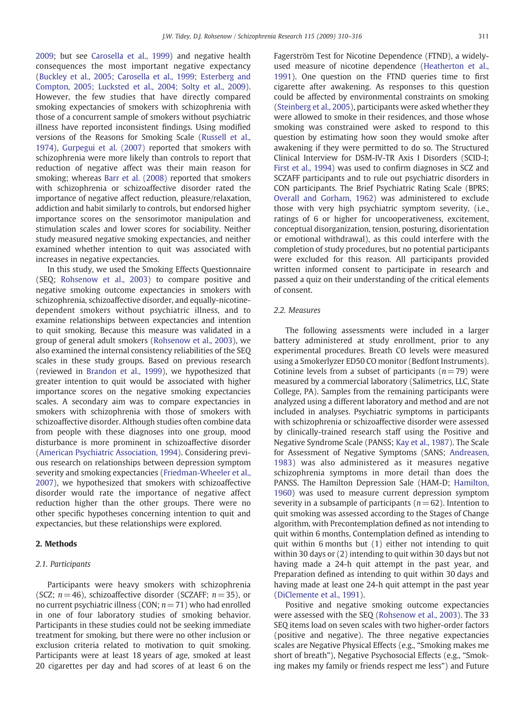[2009](#page--1-0); but see [Carosella et al., 1999\)](#page--1-0) and negative health consequences the most important negative expectancy [\(Buckley et al., 2005; Carosella et al., 1999; Esterberg and](#page--1-0) [Compton, 2005; Lucksted et al., 2004; Solty et al., 2009\)](#page--1-0). However, the few studies that have directly compared smoking expectancies of smokers with schizophrenia with those of a concurrent sample of smokers without psychiatric illness have reported inconsistent findings. Using modified versions of the Reasons for Smoking Scale ([Russell et al.,](#page--1-0) [1974](#page--1-0)), [Gurpegui et al. \(2007\)](#page--1-0) reported that smokers with schizophrenia were more likely than controls to report that reduction of negative affect was their main reason for smoking; whereas [Barr et al. \(2008\)](#page--1-0) reported that smokers with schizophrenia or schizoaffective disorder rated the importance of negative affect reduction, pleasure/relaxation, addiction and habit similarly to controls, but endorsed higher importance scores on the sensorimotor manipulation and stimulation scales and lower scores for sociability. Neither study measured negative smoking expectancies, and neither examined whether intention to quit was associated with increases in negative expectancies.

In this study, we used the Smoking Effects Questionnaire (SEQ; [Rohsenow et al., 2003\)](#page--1-0) to compare positive and negative smoking outcome expectancies in smokers with schizophrenia, schizoaffective disorder, and equally-nicotinedependent smokers without psychiatric illness, and to examine relationships between expectancies and intention to quit smoking. Because this measure was validated in a group of general adult smokers [\(Rohsenow et al., 2003](#page--1-0)), we also examined the internal consistency reliabilities of the SEQ scales in these study groups. Based on previous research (reviewed in [Brandon et al., 1999\)](#page--1-0), we hypothesized that greater intention to quit would be associated with higher importance scores on the negative smoking expectancies scales. A secondary aim was to compare expectancies in smokers with schizophrenia with those of smokers with schizoaffective disorder. Although studies often combine data from people with these diagnoses into one group, mood disturbance is more prominent in schizoaffective disorder [\(American Psychiatric Association, 1994\)](#page--1-0). Considering previous research on relationships between depression symptom severity and smoking expectancies [\(Friedman-Wheeler et al.,](#page--1-0) [2007](#page--1-0)), we hypothesized that smokers with schizoaffective disorder would rate the importance of negative affect reduction higher than the other groups. There were no other specific hypotheses concerning intention to quit and expectancies, but these relationships were explored.

#### 2. Methods

#### 2.1. Participants

Participants were heavy smokers with schizophrenia (SCZ;  $n = 46$ ), schizoaffective disorder (SCZAFF;  $n = 35$ ), or no current psychiatric illness (CON;  $n=71$ ) who had enrolled in one of four laboratory studies of smoking behavior. Participants in these studies could not be seeking immediate treatment for smoking, but there were no other inclusion or exclusion criteria related to motivation to quit smoking. Participants were at least 18 years of age, smoked at least 20 cigarettes per day and had scores of at least 6 on the Fagerström Test for Nicotine Dependence (FTND), a widelyused measure of nicotine dependence [\(Heatherton et al.,](#page--1-0) [1991](#page--1-0)). One question on the FTND queries time to first cigarette after awakening. As responses to this question could be affected by environmental constraints on smoking ([Steinberg et al., 2005](#page--1-0)), participants were asked whether they were allowed to smoke in their residences, and those whose smoking was constrained were asked to respond to this question by estimating how soon they would smoke after awakening if they were permitted to do so. The Structured Clinical Interview for DSM-IV-TR Axis I Disorders (SCID-I; [First et al., 1994](#page--1-0)) was used to confirm diagnoses in SCZ and SCZAFF participants and to rule out psychiatric disorders in CON participants. The Brief Psychiatric Rating Scale (BPRS; [Overall and Gorham, 1962](#page--1-0)) was administered to exclude those with very high psychiatric symptom severity, (i.e., ratings of 6 or higher for uncooperativeness, excitement, conceptual disorganization, tension, posturing, disorientation or emotional withdrawal), as this could interfere with the completion of study procedures, but no potential participants were excluded for this reason. All participants provided written informed consent to participate in research and passed a quiz on their understanding of the critical elements of consent.

#### 2.2. Measures

The following assessments were included in a larger battery administered at study enrollment, prior to any experimental procedures. Breath CO levels were measured using a Smokerlyzer ED50 CO monitor (Bedfont Instruments). Cotinine levels from a subset of participants  $(n=79)$  were measured by a commercial laboratory (Salimetrics, LLC, State College, PA). Samples from the remaining participants were analyzed using a different laboratory and method and are not included in analyses. Psychiatric symptoms in participants with schizophrenia or schizoaffective disorder were assessed by clinically-trained research staff using the Positive and Negative Syndrome Scale (PANSS; [Kay et al., 1987](#page--1-0)). The Scale for Assessment of Negative Symptoms (SANS; [Andreasen,](#page--1-0) [1983\)](#page--1-0) was also administered as it measures negative schizophrenia symptoms in more detail than does the PANSS. The Hamilton Depression Sale (HAM-D; [Hamilton,](#page--1-0) [1960](#page--1-0)) was used to measure current depression symptom severity in a subsample of participants ( $n= 62$ ). Intention to quit smoking was assessed according to the Stages of Change algorithm, with Precontemplation defined as not intending to quit within 6 months, Contemplation defined as intending to quit within 6 months but (1) either not intending to quit within 30 days or (2) intending to quit within 30 days but not having made a 24-h quit attempt in the past year, and Preparation defined as intending to quit within 30 days and having made at least one 24-h quit attempt in the past year ([DiClemente et al., 1991](#page--1-0)).

Positive and negative smoking outcome expectancies were assessed with the SEQ ([Rohsenow et al., 2003](#page--1-0)). The 33 SEQ items load on seven scales with two higher-order factors (positive and negative). The three negative expectancies scales are Negative Physical Effects (e.g., "Smoking makes me short of breath"), Negative Psychosocial Effects (e.g., "Smoking makes my family or friends respect me less") and Future